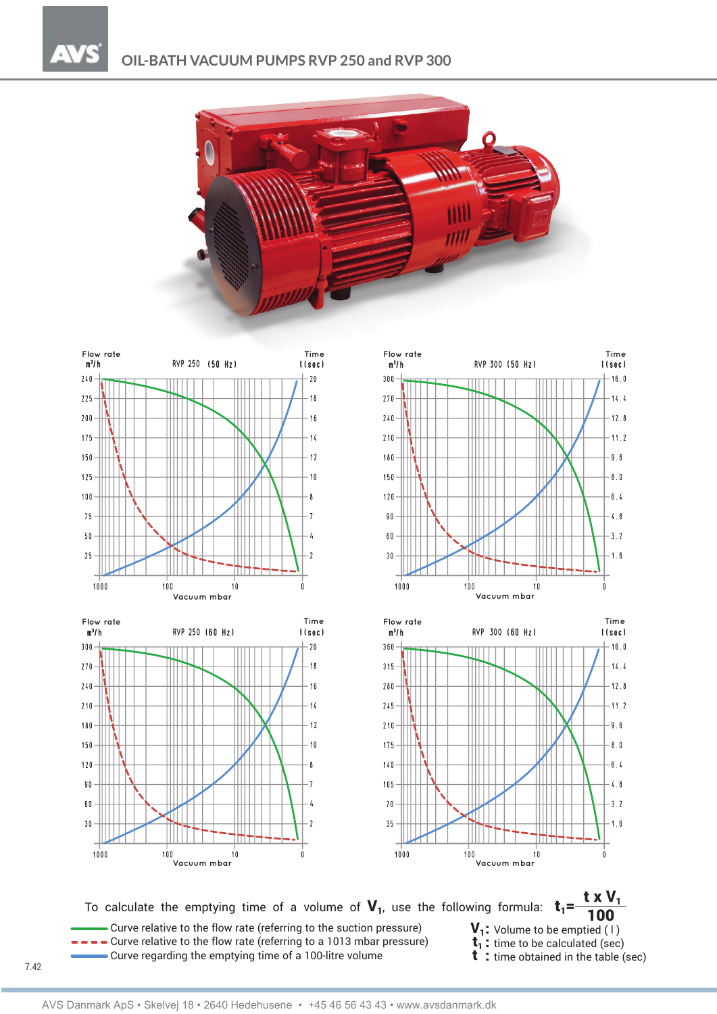









To calculate the emptying time of a volume of  $V_1$ , use the following formula:  $t_1$ = Curve relative to the flow rate (referring to the suction pressure)  $V_1$ : Volume to be emptied (1)<br>  $\rightarrow$   $\rightarrow$  Curve relative to the flow rate (referring to a 1013 mbar pressure)  $t_1$ : time to be calculated (sec)<br>
Curve  $\bullet$  Curve regarding the emptying time of a 100-litre volume

 $V_1$ : Volume to be emptied (1)

t x  $V_1$ 

- 
-